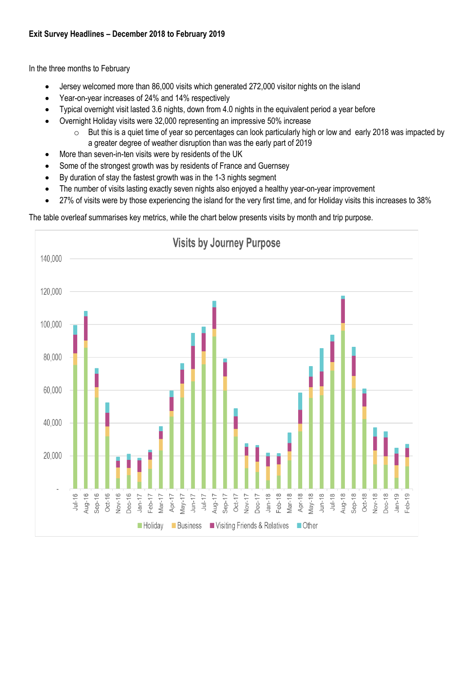## **Exit Survey Headlines – December 2018 to February 2019**

In the three months to February

- Jersey welcomed more than 86,000 visits which generated 272,000 visitor nights on the island
- Year-on-year increases of 24% and 14% respectively
- Typical overnight visit lasted 3.6 nights, down from 4.0 nights in the equivalent period a year before
- Overnight Holiday visits were 32,000 representing an impressive 50% increase
	- $\circ$  But this is a quiet time of year so percentages can look particularly high or low and early 2018 was impacted by a greater degree of weather disruption than was the early part of 2019
- More than seven-in-ten visits were by residents of the UK
- Some of the strongest growth was by residents of France and Guernsey
- By duration of stay the fastest growth was in the 1-3 nights segment
- The number of visits lasting exactly seven nights also enjoved a healthy vear-on-year improvement
- 27% of visits were by those experiencing the island for the very first time, and for Holiday visits this increases to 38%

The table overleaf summarises key metrics, while the chart below presents visits by month and trip purpose.